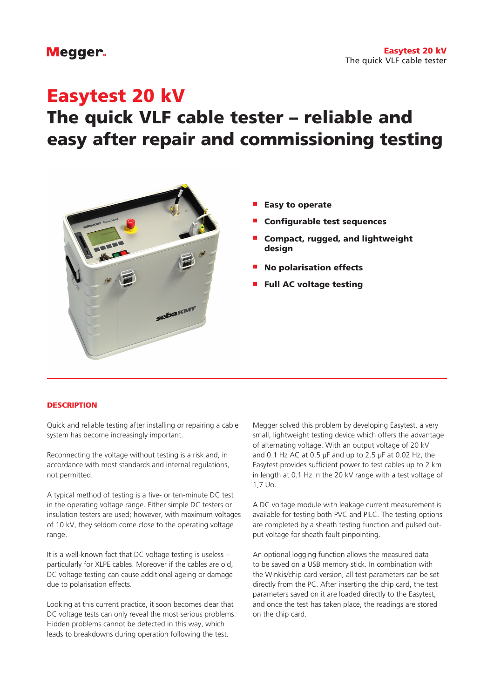### Megger.

## Easytest 20 kV

# The quick VLF cable tester – reliable and easy after repair and commissioning testing



- **Easy to operate**
- Configurable test sequences
- Compact, rugged, and lightweight design
- **No polarisation effects**
- **Full AC voltage testing**

#### **DESCRIPTION**

Quick and reliable testing after installing or repairing a cable system has become increasingly important.

Reconnecting the voltage without testing is a risk and, in accordance with most standards and internal regulations, not permitted.

A typical method of testing is a five- or ten-minute DC test in the operating voltage range. Either simple DC testers or insulation testers are used; however, with maximum voltages of 10 kV, they seldom come close to the operating voltage range.

It is a well-known fact that DC voltage testing is useless – particularly for XLPE cables. Moreover if the cables are old, DC voltage testing can cause additional ageing or damage due to polarisation effects.

Looking at this current practice, it soon becomes clear that DC voltage tests can only reveal the most serious problems. Hidden problems cannot be detected in this way, which leads to breakdowns during operation following the test.

Megger solved this problem by developing Easytest, a very small, lightweight testing device which offers the advantage of alternating voltage. With an output voltage of 20 kV and 0.1 Hz AC at 0.5 µF and up to 2.5 µF at 0.02 Hz, the Easytest provides sufficient power to test cables up to 2 km in length at 0.1 Hz in the 20 kV range with a test voltage of 1,7 Uo.

A DC voltage module with leakage current measurement is available for testing both PVC and PILC. The testing options are completed by a sheath testing function and pulsed output voltage for sheath fault pinpointing.

An optional logging function allows the measured data to be saved on a USB memory stick. In combination with the Winkis/chip card version, all test parameters can be set directly from the PC. After inserting the chip card, the test parameters saved on it are loaded directly to the Easytest, and once the test has taken place, the readings are stored on the chip card.